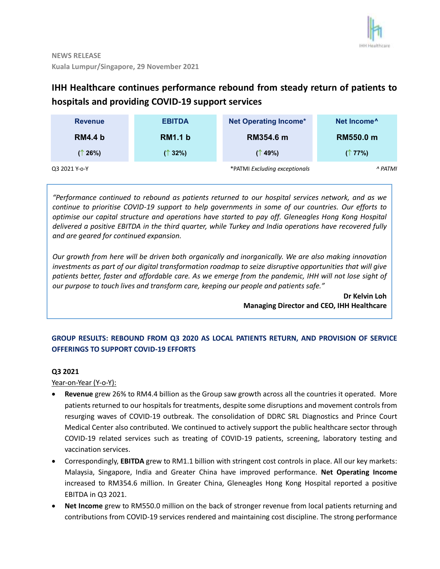

# **IHH Healthcare continues performance rebound from steady return of patients to hospitals and providing COVID-19 support services**

| <b>Revenue</b> | <b>EBITDA</b>  | <b>Net Operating Income*</b>  | Net Income <sup>^</sup> |
|----------------|----------------|-------------------------------|-------------------------|
| <b>RM4.4 b</b> | <b>RM1.1 b</b> | RM354.6 m                     | RM550.0 m               |
| (↑26%)         | (↑32%)         | $($ 19%)                      | (177%)                  |
| Q3 2021 Y-o-Y  |                | *PATMI Excluding exceptionals | ^ PATMI                 |

*"Performance continued to rebound as patients returned to our hospital services network, and as we continue to prioritise COVID-19 support to help governments in some of our countries. Our efforts to optimise our capital structure and operations have started to pay off. Gleneagles Hong Kong Hospital delivered a positive EBITDA in the third quarter, while Turkey and India operations have recovered fully and are geared for continued expansion.*

*Our growth from here will be driven both organically and inorganically. We are also making innovation investments as part of our digital transformation roadmap to seize disruptive opportunities that will give patients better, faster and affordable care. As we emerge from the pandemic, IHH will not lose sight of our purpose to touch lives and transform care, keeping our people and patients safe."*

> **Dr Kelvin Loh Managing Director and CEO, IHH Healthcare**

## **GROUP RESULTS: REBOUND FROM Q3 2020 AS LOCAL PATIENTS RETURN, AND PROVISION OF SERVICE OFFERINGS TO SUPPORT COVID-19 EFFORTS**

## **Q3 2021**

Year-on-Year (Y-o-Y):

- **Revenue** grew 26% to RM4.4 billion as the Group saw growth across all the countries it operated. More patients returned to our hospitalsfor treatments, despite some disruptions and movement controls from resurging waves of COVID-19 outbreak. The consolidation of DDRC SRL Diagnostics and Prince Court Medical Center also contributed. We continued to actively support the public healthcare sector through COVID-19 related services such as treating of COVID-19 patients, screening, laboratory testing and vaccination services.
- Correspondingly, **EBITDA** grew to RM1.1 billion with stringent cost controls in place. All our key markets: Malaysia, Singapore, India and Greater China have improved performance. **Net Operating Income** increased to RM354.6 million. In Greater China, Gleneagles Hong Kong Hospital reported a positive EBITDA in Q3 2021.
- **Net Income** grew to RM550.0 million on the back of stronger revenue from local patients returning and contributions from COVID-19 services rendered and maintaining cost discipline. The strong performance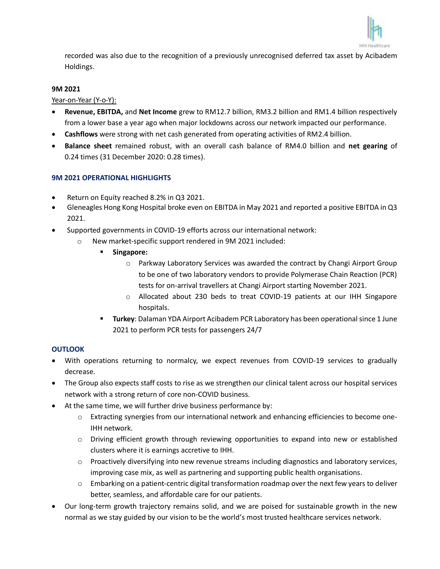

recorded was also due to the recognition of a previously unrecognised deferred tax asset by Acibadem Holdings.

### **9M 2021**

Year-on-Year (Y-o-Y):

- **Revenue, EBITDA,** and **Net Income** grew to RM12.7 billion, RM3.2 billion and RM1.4 billion respectively from a lower base a year ago when major lockdowns across our network impacted our performance.
- **Cashflows** were strong with net cash generated from operating activities of RM2.4 billion.
- **Balance sheet** remained robust, with an overall cash balance of RM4.0 billion and **net gearing** of 0.24 times (31 December 2020: 0.28 times).

## **9M 2021 OPERATIONAL HIGHLIGHTS**

- Return on Equity reached 8.2% in Q3 2021.
- Gleneagles Hong Kong Hospital broke even on EBITDA in May 2021 and reported a positive EBITDA in Q3 2021.
- Supported governments in COVID-19 efforts across our international network:
	- o New market-specific support rendered in 9M 2021 included:
		- **Singapore:** 
			- o Parkway Laboratory Services was awarded the contract by Changi Airport Group to be one of two laboratory vendors to provide Polymerase Chain Reaction (PCR) tests for on-arrival travellers at Changi Airport starting November 2021.
			- o Allocated about 230 beds to treat COVID-19 patients at our IHH Singapore hospitals.
		- **Turkey**: Dalaman YDA Airport Acibadem PCR Laboratory has been operational since 1 June 2021 to perform PCR tests for passengers 24/7

## **OUTLOOK**

- With operations returning to normalcy, we expect revenues from COVID-19 services to gradually decrease.
- The Group also expects staff costs to rise as we strengthen our clinical talent across our hospital services network with a strong return of core non-COVID business.
- At the same time, we will further drive business performance by:
	- o Extracting synergies from our international network and enhancing efficiencies to become one-IHH network.
	- $\circ$  Driving efficient growth through reviewing opportunities to expand into new or established clusters where it is earnings accretive to IHH.
	- o Proactively diversifying into new revenue streams including diagnostics and laboratory services, improving case mix, as well as partnering and supporting public health organisations.
	- $\circ$  Embarking on a patient-centric digital transformation roadmap over the next few years to deliver better, seamless, and affordable care for our patients.
- Our long-term growth trajectory remains solid, and we are poised for sustainable growth in the new normal as we stay guided by our vision to be the world's most trusted healthcare services network.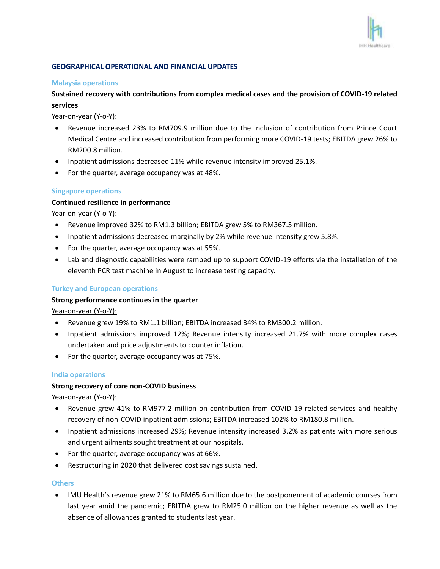

#### **GEOGRAPHICAL OPERATIONAL AND FINANCIAL UPDATES**

#### **Malaysia operations**

## **Sustained recovery with contributions from complex medical cases and the provision of COVID-19 related services**

Year-on-year (Y-o-Y):

- Revenue increased 23% to RM709.9 million due to the inclusion of contribution from Prince Court Medical Centre and increased contribution from performing more COVID-19 tests; EBITDA grew 26% to RM200.8 million.
- Inpatient admissions decreased 11% while revenue intensity improved 25.1%.
- For the quarter, average occupancy was at 48%.

#### **Singapore operations**

#### **Continued resilience in performance**

Year-on-year (Y-o-Y):

- Revenue improved 32% to RM1.3 billion; EBITDA grew 5% to RM367.5 million.
- Inpatient admissions decreased marginally by 2% while revenue intensity grew 5.8%.
- For the quarter, average occupancy was at 55%.
- Lab and diagnostic capabilities were ramped up to support COVID-19 efforts via the installation of the eleventh PCR test machine in August to increase testing capacity.

#### **Turkey and European operations**

#### **Strong performance continues in the quarter**

Year-on-year (Y-o-Y):

- Revenue grew 19% to RM1.1 billion; EBITDA increased 34% to RM300.2 million.
- Inpatient admissions improved 12%; Revenue intensity increased 21.7% with more complex cases undertaken and price adjustments to counter inflation.
- For the quarter, average occupancy was at 75%.

#### **India operations**

#### **Strong recovery of core non-COVID business**

Year-on-year (Y-o-Y):

- Revenue grew 41% to RM977.2 million on contribution from COVID-19 related services and healthy recovery of non-COVID inpatient admissions; EBITDA increased 102% to RM180.8 million.
- Inpatient admissions increased 29%; Revenue intensity increased 3.2% as patients with more serious and urgent ailments sought treatment at our hospitals.
- For the quarter, average occupancy was at 66%.
- Restructuring in 2020 that delivered cost savings sustained.

#### **Others**

 IMU Health's revenue grew 21% to RM65.6 million due to the postponement of academic courses from last year amid the pandemic; EBITDA grew to RM25.0 million on the higher revenue as well as the absence of allowances granted to students last year.